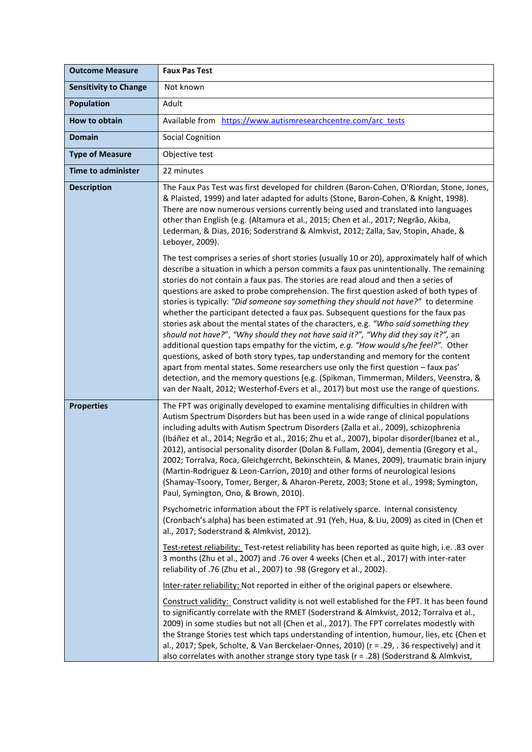| <b>Outcome Measure</b>       | <b>Faux Pas Test</b>                                                                                                                                                                                                                                                                                                                                                                                                                                                                                                                                                                                                                                                                                                                                                                                                                                                                                                                                                                                                                                                                                                                                                                     |
|------------------------------|------------------------------------------------------------------------------------------------------------------------------------------------------------------------------------------------------------------------------------------------------------------------------------------------------------------------------------------------------------------------------------------------------------------------------------------------------------------------------------------------------------------------------------------------------------------------------------------------------------------------------------------------------------------------------------------------------------------------------------------------------------------------------------------------------------------------------------------------------------------------------------------------------------------------------------------------------------------------------------------------------------------------------------------------------------------------------------------------------------------------------------------------------------------------------------------|
| <b>Sensitivity to Change</b> | Not known                                                                                                                                                                                                                                                                                                                                                                                                                                                                                                                                                                                                                                                                                                                                                                                                                                                                                                                                                                                                                                                                                                                                                                                |
| <b>Population</b>            | Adult                                                                                                                                                                                                                                                                                                                                                                                                                                                                                                                                                                                                                                                                                                                                                                                                                                                                                                                                                                                                                                                                                                                                                                                    |
| How to obtain                | Available from https://www.autismresearchcentre.com/arc tests                                                                                                                                                                                                                                                                                                                                                                                                                                                                                                                                                                                                                                                                                                                                                                                                                                                                                                                                                                                                                                                                                                                            |
| <b>Domain</b>                | <b>Social Cognition</b>                                                                                                                                                                                                                                                                                                                                                                                                                                                                                                                                                                                                                                                                                                                                                                                                                                                                                                                                                                                                                                                                                                                                                                  |
| <b>Type of Measure</b>       | Objective test                                                                                                                                                                                                                                                                                                                                                                                                                                                                                                                                                                                                                                                                                                                                                                                                                                                                                                                                                                                                                                                                                                                                                                           |
| <b>Time to administer</b>    | 22 minutes                                                                                                                                                                                                                                                                                                                                                                                                                                                                                                                                                                                                                                                                                                                                                                                                                                                                                                                                                                                                                                                                                                                                                                               |
| <b>Description</b>           | The Faux Pas Test was first developed for children (Baron-Cohen, O'Riordan, Stone, Jones,<br>& Plaisted, 1999) and later adapted for adults (Stone, Baron-Cohen, & Knight, 1998).<br>There are now numerous versions currently being used and translated into languages<br>other than English (e.g. (Altamura et al., 2015; Chen et al., 2017; Negrão, Akiba,<br>Lederman, & Dias, 2016; Soderstrand & Almkvist, 2012; Zalla, Sav, Stopin, Ahade, &<br>Leboyer, 2009).                                                                                                                                                                                                                                                                                                                                                                                                                                                                                                                                                                                                                                                                                                                   |
|                              | The test comprises a series of short stories (usually 10 or 20), approximately half of which<br>describe a situation in which a person commits a faux pas unintentionally. The remaining<br>stories do not contain a faux pas. The stories are read aloud and then a series of<br>questions are asked to probe comprehension. The first question asked of both types of<br>stories is typically: "Did someone say something they should not have?" to determine<br>whether the participant detected a faux pas. Subsequent questions for the faux pas<br>stories ask about the mental states of the characters, e.g. "Who said something they<br>should not have?", "Why should they not have said it?", "Why did they say it?", an<br>additional question taps empathy for the victim, e.g. "How would s/he feel?". Other<br>questions, asked of both story types, tap understanding and memory for the content<br>apart from mental states. Some researchers use only the first question - faux pas'<br>detection, and the memory questions (e.g. (Spikman, Timmerman, Milders, Veenstra, &<br>van der Naalt, 2012; Westerhof-Evers et al., 2017) but most use the range of questions. |
| <b>Properties</b>            | The FPT was originally developed to examine mentalising difficulties in children with<br>Autism Spectrum Disorders but has been used in a wide range of clinical populations<br>including adults with Autism Spectrum Disorders (Zalla et al., 2009), schizophrenia<br>(Ibáñez et al., 2014; Negrão et al., 2016; Zhu et al., 2007), bipolar disorder(Ibanez et al.,<br>2012), antisocial personality disorder (Dolan & Fullam, 2004), dementia (Gregory et al.,<br>2002; Torralva, Roca, Gleichgerrcht, Bekinschtein, & Manes, 2009), traumatic brain injury<br>(Martin-Rodriguez & Leon-Carrion, 2010) and other forms of neurological lesions<br>(Shamay-Tsoory, Tomer, Berger, & Aharon-Peretz, 2003; Stone et al., 1998; Symington,<br>Paul, Symington, Ono, & Brown, 2010).                                                                                                                                                                                                                                                                                                                                                                                                        |
|                              | Psychometric information about the FPT is relatively sparce. Internal consistency<br>(Cronbach's alpha) has been estimated at .91 (Yeh, Hua, & Liu, 2009) as cited in (Chen et<br>al., 2017; Soderstrand & Almkvist, 2012).                                                                                                                                                                                                                                                                                                                                                                                                                                                                                                                                                                                                                                                                                                                                                                                                                                                                                                                                                              |
|                              | Test-retest reliability: Test-retest reliability has been reported as quite high, i.e. .83 over<br>3 months (Zhu et al., 2007) and .76 over 4 weeks (Chen et al., 2017) with inter-rater<br>reliability of .76 (Zhu et al., 2007) to .98 (Gregory et al., 2002).                                                                                                                                                                                                                                                                                                                                                                                                                                                                                                                                                                                                                                                                                                                                                                                                                                                                                                                         |
|                              | Inter-rater reliability: Not reported in either of the original papers or elsewhere.                                                                                                                                                                                                                                                                                                                                                                                                                                                                                                                                                                                                                                                                                                                                                                                                                                                                                                                                                                                                                                                                                                     |
|                              | Construct validity: Construct validity is not well established for the FPT. It has been found<br>to significantly correlate with the RMET (Soderstrand & Almkvist, 2012; Torralva et al.,<br>2009) in some studies but not all (Chen et al., 2017). The FPT correlates modestly with<br>the Strange Stories test which taps understanding of intention, humour, lies, etc (Chen et<br>al., 2017; Spek, Scholte, & Van Berckelaer-Onnes, 2010) (r = .29, . 36 respectively) and it<br>also correlates with another strange story type task (r = .28) (Soderstrand & Almkvist,                                                                                                                                                                                                                                                                                                                                                                                                                                                                                                                                                                                                             |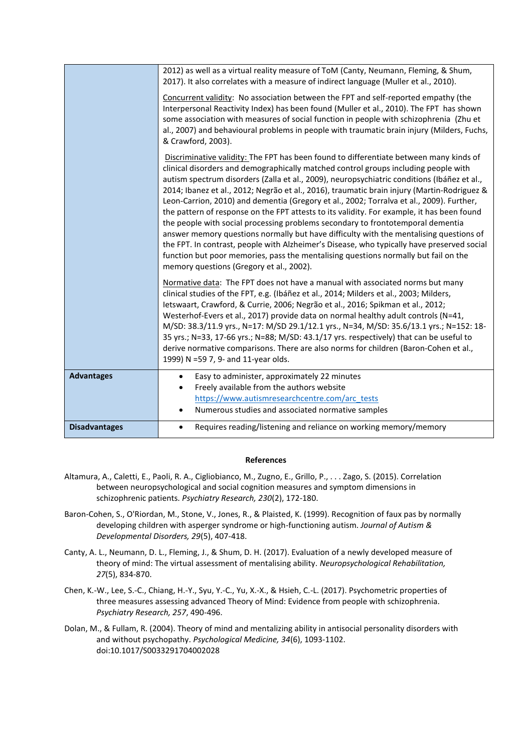|                      | 2012) as well as a virtual reality measure of ToM (Canty, Neumann, Fleming, & Shum,<br>2017). It also correlates with a measure of indirect language (Muller et al., 2010).                                                                                                                                                                                                                                                                                                                                                                                                                                                                                                                                                                                                                                                                                                                                                                                                         |
|----------------------|-------------------------------------------------------------------------------------------------------------------------------------------------------------------------------------------------------------------------------------------------------------------------------------------------------------------------------------------------------------------------------------------------------------------------------------------------------------------------------------------------------------------------------------------------------------------------------------------------------------------------------------------------------------------------------------------------------------------------------------------------------------------------------------------------------------------------------------------------------------------------------------------------------------------------------------------------------------------------------------|
|                      | Concurrent validity: No association between the FPT and self-reported empathy (the<br>Interpersonal Reactivity Index) has been found (Muller et al., 2010). The FPT has shown<br>some association with measures of social function in people with schizophrenia (Zhu et<br>al., 2007) and behavioural problems in people with traumatic brain injury (Milders, Fuchs,<br>& Crawford, 2003).                                                                                                                                                                                                                                                                                                                                                                                                                                                                                                                                                                                         |
|                      | Discriminative validity: The FPT has been found to differentiate between many kinds of<br>clinical disorders and demographically matched control groups including people with<br>autism spectrum disorders (Zalla et al., 2009), neuropsychiatric conditions (Ibáñez et al.,<br>2014; Ibanez et al., 2012; Negrão et al., 2016), traumatic brain injury (Martin-Rodriguez &<br>Leon-Carrion, 2010) and dementia (Gregory et al., 2002; Torralva et al., 2009). Further,<br>the pattern of response on the FPT attests to its validity. For example, it has been found<br>the people with social processing problems secondary to frontotemporal dementia<br>answer memory questions normally but have difficulty with the mentalising questions of<br>the FPT. In contrast, people with Alzheimer's Disease, who typically have preserved social<br>function but poor memories, pass the mentalising questions normally but fail on the<br>memory questions (Gregory et al., 2002). |
|                      | Normative data: The FPT does not have a manual with associated norms but many<br>clinical studies of the FPT, e.g. (Ibáñez et al., 2014; Milders et al., 2003; Milders,<br>Ietswaart, Crawford, & Currie, 2006; Negrão et al., 2016; Spikman et al., 2012;<br>Westerhof-Evers et al., 2017) provide data on normal healthy adult controls (N=41,<br>M/SD: 38.3/11.9 yrs., N=17: M/SD 29.1/12.1 yrs., N=34, M/SD: 35.6/13.1 yrs.; N=152: 18-<br>35 yrs.; N=33, 17-66 yrs.; N=88; M/SD: 43.1/17 yrs. respectively) that can be useful to<br>derive normative comparisons. There are also norms for children (Baron-Cohen et al.,<br>1999) N =59 7, 9- and 11-year olds.                                                                                                                                                                                                                                                                                                               |
| <b>Advantages</b>    | Easy to administer, approximately 22 minutes<br>$\bullet$<br>Freely available from the authors website<br>$\bullet$<br>https://www.autismresearchcentre.com/arc_tests<br>Numerous studies and associated normative samples<br>$\bullet$                                                                                                                                                                                                                                                                                                                                                                                                                                                                                                                                                                                                                                                                                                                                             |
| <b>Disadvantages</b> | Requires reading/listening and reliance on working memory/memory<br>$\bullet$                                                                                                                                                                                                                                                                                                                                                                                                                                                                                                                                                                                                                                                                                                                                                                                                                                                                                                       |

## **References**

- Altamura, A., Caletti, E., Paoli, R. A., Cigliobianco, M., Zugno, E., Grillo, P., . . . Zago, S. (2015). Correlation between neuropsychological and social cognition measures and symptom dimensions in schizophrenic patients. *Psychiatry Research, 230*(2), 172-180.
- Baron-Cohen, S., O'Riordan, M., Stone, V., Jones, R., & Plaisted, K. (1999). Recognition of faux pas by normally developing children with asperger syndrome or high-functioning autism. *Journal of Autism & Developmental Disorders, 29*(5), 407-418.
- Canty, A. L., Neumann, D. L., Fleming, J., & Shum, D. H. (2017). Evaluation of a newly developed measure of theory of mind: The virtual assessment of mentalising ability. *Neuropsychological Rehabilitation, 27*(5), 834-870.
- Chen, K.-W., Lee, S.-C., Chiang, H.-Y., Syu, Y.-C., Yu, X.-X., & Hsieh, C.-L. (2017). Psychometric properties of three measures assessing advanced Theory of Mind: Evidence from people with schizophrenia. *Psychiatry Research, 257*, 490-496.
- Dolan, M., & Fullam, R. (2004). Theory of mind and mentalizing ability in antisocial personality disorders with and without psychopathy. *Psychological Medicine, 34*(6), 1093-1102. doi:10.1017/S0033291704002028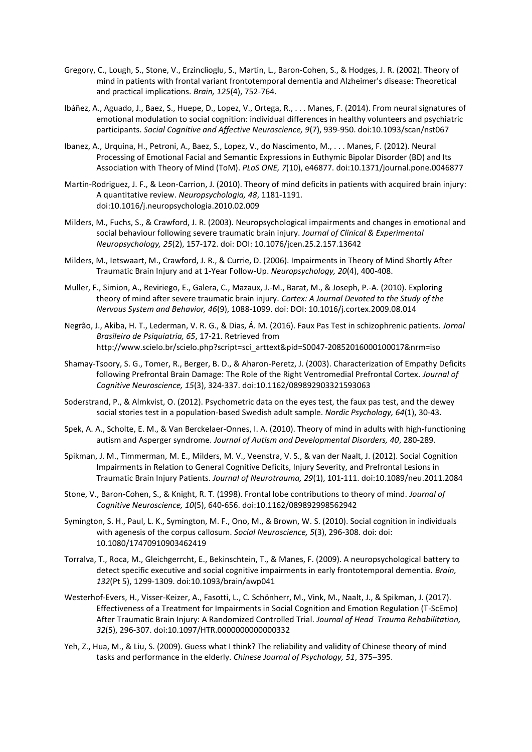- Gregory, C., Lough, S., Stone, V., Erzinclioglu, S., Martin, L., Baron-Cohen, S., & Hodges, J. R. (2002). Theory of mind in patients with frontal variant frontotemporal dementia and Alzheimer's disease: Theoretical and practical implications. *Brain, 125*(4), 752-764.
- Ibáñez, A., Aguado, J., Baez, S., Huepe, D., Lopez, V., Ortega, R., . . . Manes, F. (2014). From neural signatures of emotional modulation to social cognition: individual differences in healthy volunteers and psychiatric participants. *Social Cognitive and Affective Neuroscience, 9*(7), 939-950. doi:10.1093/scan/nst067
- Ibanez, A., Urquina, H., Petroni, A., Baez, S., Lopez, V., do Nascimento, M., . . . Manes, F. (2012). Neural Processing of Emotional Facial and Semantic Expressions in Euthymic Bipolar Disorder (BD) and Its Association with Theory of Mind (ToM). *PLoS ONE, 7*(10), e46877. doi:10.1371/journal.pone.0046877
- Martin-Rodriguez, J. F., & Leon-Carrion, J. (2010). Theory of mind deficits in patients with acquired brain injury: A quantitative review. *Neuropsychologia, 48*, 1181-1191. doi:10.1016/j.neuropsychologia.2010.02.009
- Milders, M., Fuchs, S., & Crawford, J. R. (2003). Neuropsychological impairments and changes in emotional and social behaviour following severe traumatic brain injury. *Journal of Clinical & Experimental Neuropsychology, 25*(2), 157-172. doi: DOI: 10.1076/jcen.25.2.157.13642
- Milders, M., Ietswaart, M., Crawford, J. R., & Currie, D. (2006). Impairments in Theory of Mind Shortly After Traumatic Brain Injury and at 1-Year Follow-Up. *Neuropsychology, 20*(4), 400-408.
- Muller, F., Simion, A., Reviriego, E., Galera, C., Mazaux, J.-M., Barat, M., & Joseph, P.-A. (2010). Exploring theory of mind after severe traumatic brain injury. *Cortex: A Journal Devoted to the Study of the Nervous System and Behavior, 46*(9), 1088-1099. doi: DOI: 10.1016/j.cortex.2009.08.014
- Negrão, J., Akiba, H. T., Lederman, V. R. G., & Dias, Á. M. (2016). Faux Pas Test in schizophrenic patients. *Jornal Brasileiro de Psiquiatria, 65*, 17-21. Retrieved from http://www.scielo.br/scielo.php?script=sci\_arttext&pid=S0047-20852016000100017&nrm=iso
- Shamay-Tsoory, S. G., Tomer, R., Berger, B. D., & Aharon-Peretz, J. (2003). Characterization of Empathy Deficits following Prefrontal Brain Damage: The Role of the Right Ventromedial Prefrontal Cortex. *Journal of Cognitive Neuroscience, 15*(3), 324-337. doi:10.1162/089892903321593063
- Soderstrand, P., & Almkvist, O. (2012). Psychometric data on the eyes test, the faux pas test, and the dewey social stories test in a population-based Swedish adult sample. *Nordic Psychology, 64*(1), 30-43.
- Spek, A. A., Scholte, E. M., & Van Berckelaer-Onnes, I. A. (2010). Theory of mind in adults with high-functioning autism and Asperger syndrome. *Journal of Autism and Developmental Disorders, 40*, 280-289.
- Spikman, J. M., Timmerman, M. E., Milders, M. V., Veenstra, V. S., & van der Naalt, J. (2012). Social Cognition Impairments in Relation to General Cognitive Deficits, Injury Severity, and Prefrontal Lesions in Traumatic Brain Injury Patients. *Journal of Neurotrauma, 29*(1), 101-111. doi:10.1089/neu.2011.2084
- Stone, V., Baron-Cohen, S., & Knight, R. T. (1998). Frontal lobe contributions to theory of mind. *Journal of Cognitive Neuroscience, 10*(5), 640-656. doi:10.1162/089892998562942
- Symington, S. H., Paul, L. K., Symington, M. F., Ono, M., & Brown, W. S. (2010). Social cognition in individuals with agenesis of the corpus callosum. *Social Neuroscience, 5*(3), 296-308. doi: doi: 10.1080/17470910903462419
- Torralva, T., Roca, M., Gleichgerrcht, E., Bekinschtein, T., & Manes, F. (2009). A neuropsychological battery to detect specific executive and social cognitive impairments in early frontotemporal dementia. *Brain, 132*(Pt 5), 1299-1309. doi:10.1093/brain/awp041
- Westerhof-Evers, H., Visser-Keizer, A., Fasotti, L., C. Schönherr, M., Vink, M., Naalt, J., & Spikman, J. (2017). Effectiveness of a Treatment for Impairments in Social Cognition and Emotion Regulation (T-ScEmo) After Traumatic Brain Injury: A Randomized Controlled Trial. *Journal of Head Trauma Rehabilitation, 32*(5), 296-307. doi:10.1097/HTR.0000000000000332
- Yeh, Z., Hua, M., & Liu, S. (2009). Guess what I think? The reliability and validity of Chinese theory of mind tasks and performance in the elderly. *Chinese Journal of Psychology, 51*, 375–395.